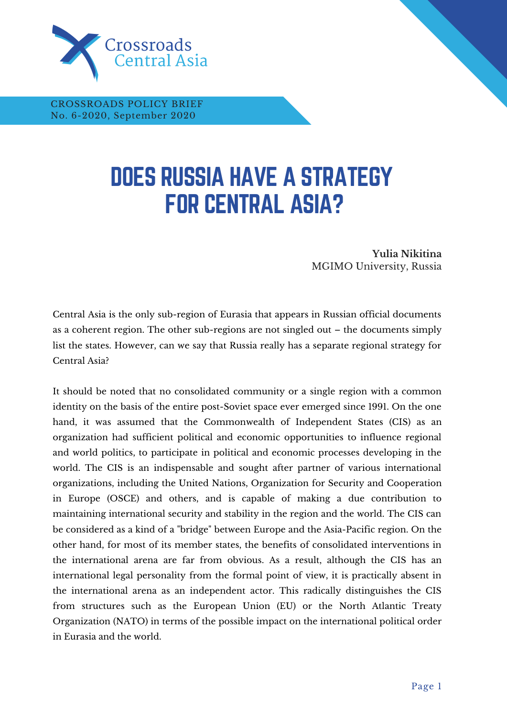

CROSSROADS POLICY BRIEF No. 6-2020, September 2020

## DOES RUSSIA HAVE A STRATEGY FOR CENTRAL ASIA?

**Yulia Nikitina** MGIMO University, Russia

**THE LIMITS OF WASHINGTON'S STAYING POWER IN CENTRAL ASIA**

Central Asia is the only sub-region of Eurasia that appears in Russian official documents as a coherent region. The other sub-regions are not singled out – the documents simply list the states. However, can we say that Russia really has a separate regional strategy for Central Asia?

It should be noted that no consolidated community or a single region with a common identity on the basis of the entire post-Soviet space ever emerged since 1991. On the one hand, it was assumed that the Commonwealth of Independent States (CIS) as an organization had sufficient political and economic opportunities to influence regional and world politics, to participate in political and economic processes developing in the world. The CIS is an indispensable and sought after partner of various international organizations, including the United Nations, Organization for Security and Cooperation in Europe (OSCE) and others, and is capable of making a due contribution to maintaining international security and stability in the region and the world. The CIS can be considered as a kind of a "bridge" between Europe and the Asia-Pacific region. On the other hand, for most of its member states, the benefits of consolidated interventions in the international arena are far from obvious. As a result, although the CIS has an international legal personality from the formal point of view, it is practically absent in the international arena as an independent actor. This radically distinguishes the CIS from structures such as the European Union (EU) or the North Atlantic Treaty Organization (NATO) in terms of the possible impact on the international political order in Eurasia and the world.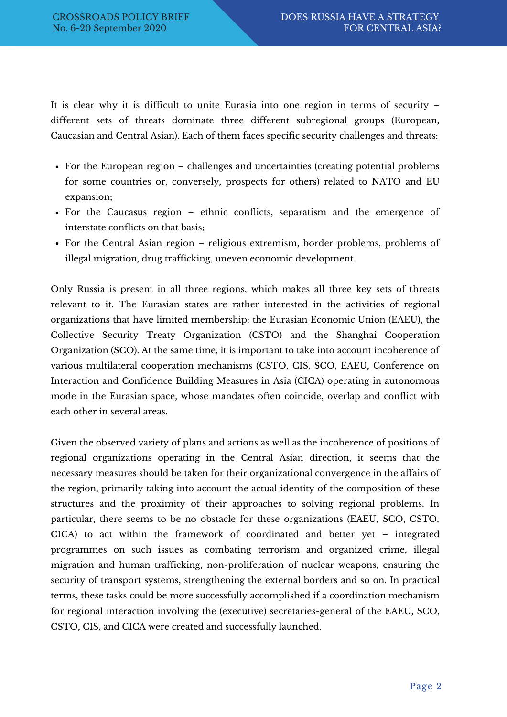It is clear why it is difficult to unite Eurasia into one region in terms of security – different sets of threats dominate three different subregional groups (European, Caucasian and Central Asian). Each of them faces specific security challenges and threats:

- For the European region challenges and uncertainties (creating potential problems for some countries or, conversely, prospects for others) related to NATO and EU expansion;
- For the Caucasus region ethnic conflicts, separatism and the emergence of interstate conflicts on that basis;
- For the Central Asian region religious extremism, border problems, problems of illegal migration, drug trafficking, uneven economic development.

Only Russia is present in all three regions, which makes all three key sets of threats relevant to it. The Eurasian states are rather interested in the activities of regional organizations that have limited membership: the Eurasian Economic Union (EAEU), the Collective Security Treaty Organization (CSTO) and the Shanghai Cooperation Organization (SCO). At the same time, it is important to take into account incoherence of various multilateral cooperation mechanisms (CSTO, CIS, SCO, EAEU, Conference on Interaction and Confidence Building Measures in Asia (CICA) operating in autonomous mode in the Eurasian space, whose mandates often coincide, overlap and conflict with each other in several areas.

Given the observed variety of plans and actions as well as the incoherence of positions of regional organizations operating in the Central Asian direction, it seems that the necessary measures should be taken for their organizational convergence in the affairs of the region, primarily taking into account the actual identity of the composition of these structures and the proximity of their approaches to solving regional problems. In particular, there seems to be no obstacle for these organizations (EAEU, SCO, CSTO, CICA) to act within the framework of coordinated and better yet – integrated programmes on such issues as combating terrorism and organized crime, illegal migration and human trafficking, non-proliferation of nuclear weapons, ensuring the security of transport systems, strengthening the external borders and so on. In practical terms, these tasks could be more successfully accomplished if a coordination mechanism for regional interaction involving the (executive) secretaries-general of the EAEU, SCO, CSTO, CIS, and CICA were created and successfully launched.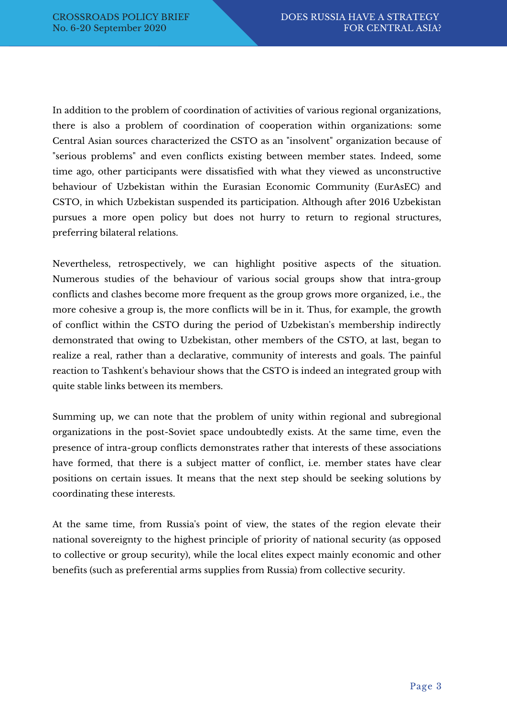In addition to the problem of coordination of activities of various regional organizations, there is also a problem of coordination of cooperation within organizations: some Central Asian sources characterized the CSTO as an "insolvent" organization because of "serious problems" and even conflicts existing between member states. Indeed, some time ago, other participants were dissatisfied with what they viewed as unconstructive behaviour of Uzbekistan within the Eurasian Economic Community (EurAsEC) and CSTO, in which Uzbekistan suspended its participation. Although after 2016 Uzbekistan pursues a more open policy but does not hurry to return to regional structures, preferring bilateral relations.

Nevertheless, retrospectively, we can highlight positive aspects of the situation. Numerous studies of the behaviour of various social groups show that intra-group conflicts and clashes become more frequent as the group grows more organized, i.e., the more cohesive a group is, the more conflicts will be in it. Thus, for example, the growth of conflict within the CSTO during the period of Uzbekistan's membership indirectly demonstrated that owing to Uzbekistan, other members of the CSTO, at last, began to realize a real, rather than a declarative, community of interests and goals. The painful reaction to Tashkent's behaviour shows that the CSTO is indeed an integrated group with quite stable links between its members.

Summing up, we can note that the problem of unity within regional and subregional organizations in the post-Soviet space undoubtedly exists. At the same time, even the presence of intra-group conflicts demonstrates rather that interests of these associations have formed, that there is a subject matter of conflict, i.e. member states have clear positions on certain issues. It means that the next step should be seeking solutions by coordinating these interests.

At the same time, from Russia's point of view, the states of the region elevate their national sovereignty to the highest principle of priority of national security (as opposed to collective or group security), while the local elites expect mainly economic and other benefits (such as preferential arms supplies from Russia) from collective security.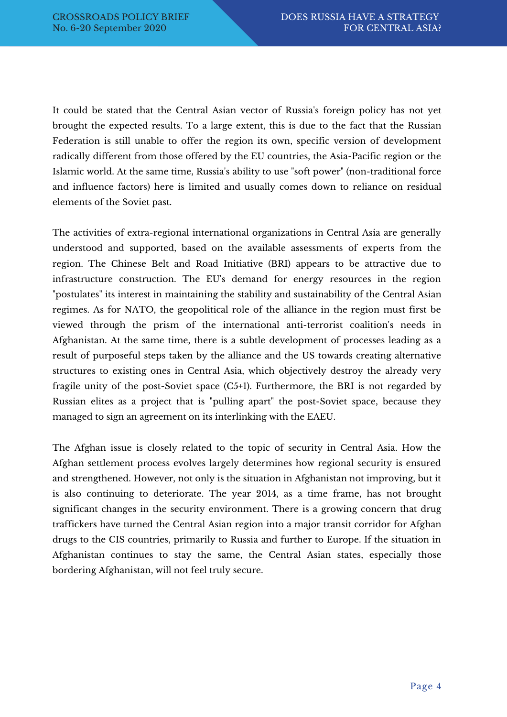It could be stated that the Central Asian vector of Russia's foreign policy has not yet brought the expected results. To a large extent, this is due to the fact that the Russian Federation is still unable to offer the region its own, specific version of development radically different from those offered by the EU countries, the Asia-Pacific region or the Islamic world. At the same time, Russia's ability to use "soft power" (non-traditional force and influence factors) here is limited and usually comes down to reliance on residual elements of the Soviet past.

The activities of extra-regional international organizations in Central Asia are generally understood and supported, based on the available assessments of experts from the region. The Chinese Belt and Road Initiative (BRI) appears to be attractive due to infrastructure construction. The EU's demand for energy resources in the region "postulates" its interest in maintaining the stability and sustainability of the Central Asian regimes. As for NATO, the geopolitical role of the alliance in the region must first be viewed through the prism of the international anti-terrorist coalition's needs in Afghanistan. At the same time, there is a subtle development of processes leading as a result of purposeful steps taken by the alliance and the US towards creating alternative structures to existing ones in Central Asia, which objectively destroy the already very fragile unity of the post-Soviet space (C5+1). Furthermore, the BRI is not regarded by Russian elites as a project that is "pulling apart" the post-Soviet space, because they managed to sign an agreement on its interlinking with the EAEU.

The Afghan issue is closely related to the topic of security in Central Asia. How the Afghan settlement process evolves largely determines how regional security is ensured and strengthened. However, not only is the situation in Afghanistan not improving, but it is also continuing to deteriorate. The year 2014, as a time frame, has not brought significant changes in the security environment. There is a growing concern that drug traffickers have turned the Central Asian region into a major transit corridor for Afghan drugs to the CIS countries, primarily to Russia and further to Europe. If the situation in Afghanistan continues to stay the same, the Central Asian states, especially those bordering Afghanistan, will not feel truly secure.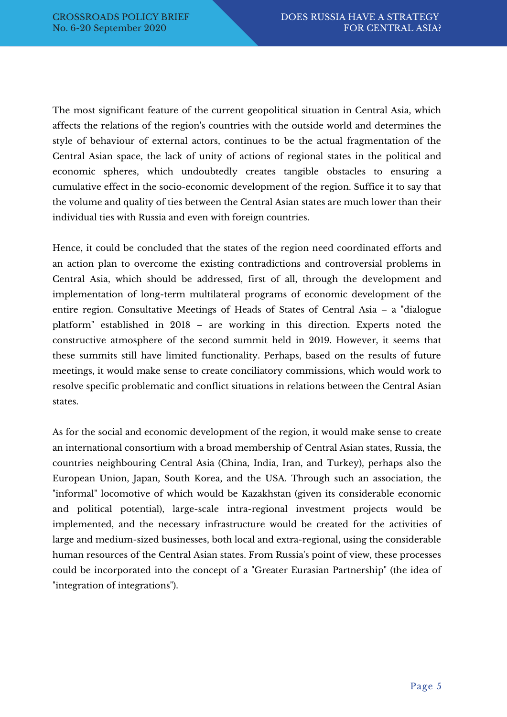The most significant feature of the current geopolitical situation in Central Asia, which affects the relations of the region's countries with the outside world and determines the style of behaviour of external actors, continues to be the actual fragmentation of the Central Asian space, the lack of unity of actions of regional states in the political and economic spheres, which undoubtedly creates tangible obstacles to ensuring a cumulative effect in the socio-economic development of the region. Suffice it to say that the volume and quality of ties between the Central Asian states are much lower than their individual ties with Russia and even with foreign countries.

Hence, it could be concluded that the states of the region need coordinated efforts and an action plan to overcome the existing contradictions and controversial problems in Central Asia, which should be addressed, first of all, through the development and implementation of long-term multilateral programs of economic development of the entire region. Consultative Meetings of Heads of States of Central Asia – a "dialogue platform" established in 2018 – are working in this direction. Experts noted the constructive atmosphere of the second summit held in 2019. However, it seems that these summits still have limited functionality. Perhaps, based on the results of future meetings, it would make sense to create conciliatory commissions, which would work to resolve specific problematic and conflict situations in relations between the Central Asian states.

As for the social and economic development of the region, it would make sense to create an international consortium with a broad membership of Central Asian states, Russia, the countries neighbouring Central Asia (China, India, Iran, and Turkey), perhaps also the European Union, Japan, South Korea, and the USA. Through such an association, the "informal" locomotive of which would be Kazakhstan (given its considerable economic and political potential), large-scale intra-regional investment projects would be implemented, and the necessary infrastructure would be created for the activities of large and medium-sized businesses, both local and extra-regional, using the considerable human resources of the Central Asian states. From Russia's point of view, these processes could be incorporated into the concept of a "Greater Eurasian Partnership" (the idea of "integration of integrations").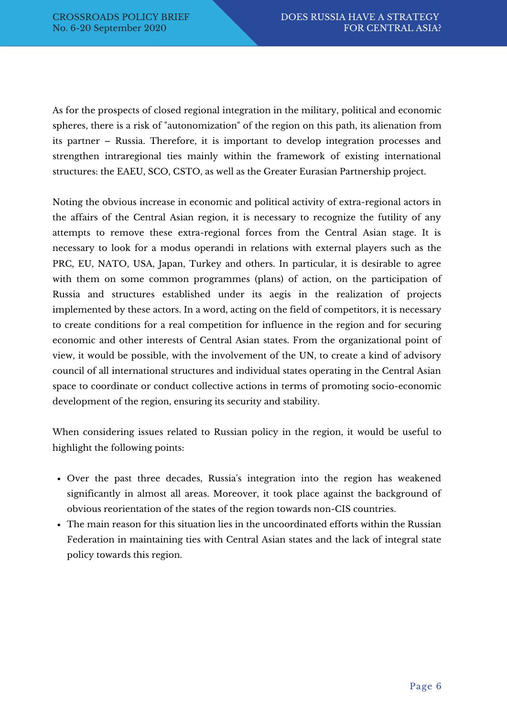As for the prospects of closed regional integration in the military, political and economic spheres, there is a risk of "autonomization" of the region on this path, its alienation from its partner – Russia. Therefore, it is important to develop integration processes and strengthen intraregional ties mainly within the framework of existing international structures: the EAEU, SCO, CSTO, as well as the Greater Eurasian Partnership project.

Noting the obvious increase in economic and political activity of extra-regional actors in the affairs of the Central Asian region, it is necessary to recognize the futility of any attempts to remove these extra-regional forces from the Central Asian stage. It is necessary to look for a modus operandi in relations with external players such as the PRC, EU, NATO, USA, Japan, Turkey and others. In particular, it is desirable to agree with them on some common programmes (plans) of action, on the participation of Russia and structures established under its aegis in the realization of projects implemented by these actors. In a word, acting on the field of competitors, it is necessary to create conditions for a real competition for influence in the region and for securing economic and other interests of Central Asian states. From the organizational point of view, it would be possible, with the involvement of the UN, to create a kind of advisory council of all international structures and individual states operating in the Central Asian space to coordinate or conduct collective actions in terms of promoting socio-economic development of the region, ensuring its security and stability.

When considering issues related to Russian policy in the region, it would be useful to highlight the following points:

- Over the past three decades, Russia's integration into the region has weakened significantly in almost all areas. Moreover, it took place against the background of obvious reorientation of the states of the region towards non-CIS countries.
- The main reason for this situation lies in the uncoordinated efforts within the Russian Federation in maintaining ties with Central Asian states and the lack of integral state policy towards this region.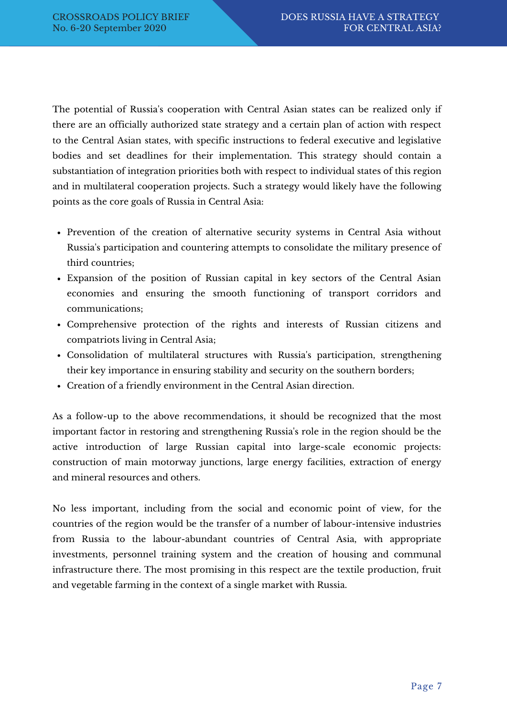The potential of Russia's cooperation with Central Asian states can be realized only if there are an officially authorized state strategy and a certain plan of action with respect to the Central Asian states, with specific instructions to federal executive and legislative bodies and set deadlines for their implementation. This strategy should contain a substantiation of integration priorities both with respect to individual states of this region and in multilateral cooperation projects. Such a strategy would likely have the following points as the core goals of Russia in Central Asia:

- Prevention of the creation of alternative security systems in Central Asia without Russia's participation and countering attempts to consolidate the military presence of third countries;
- Expansion of the position of Russian capital in key sectors of the Central Asian economies and ensuring the smooth functioning of transport corridors and communications;
- Comprehensive protection of the rights and interests of Russian citizens and compatriots living in Central Asia;
- Consolidation of multilateral structures with Russia's participation, strengthening their key importance in ensuring stability and security on the southern borders;
- Creation of a friendly environment in the Central Asian direction.

As a follow-up to the above recommendations, it should be recognized that the most important factor in restoring and strengthening Russia's role in the region should be the active introduction of large Russian capital into large-scale economic projects: construction of main motorway junctions, large energy facilities, extraction of energy and mineral resources and others.

No less important, including from the social and economic point of view, for the countries of the region would be the transfer of a number of labour-intensive industries from Russia to the labour-abundant countries of Central Asia, with appropriate investments, personnel training system and the creation of housing and communal infrastructure there. The most promising in this respect are the textile production, fruit and vegetable farming in the context of a single market with Russia.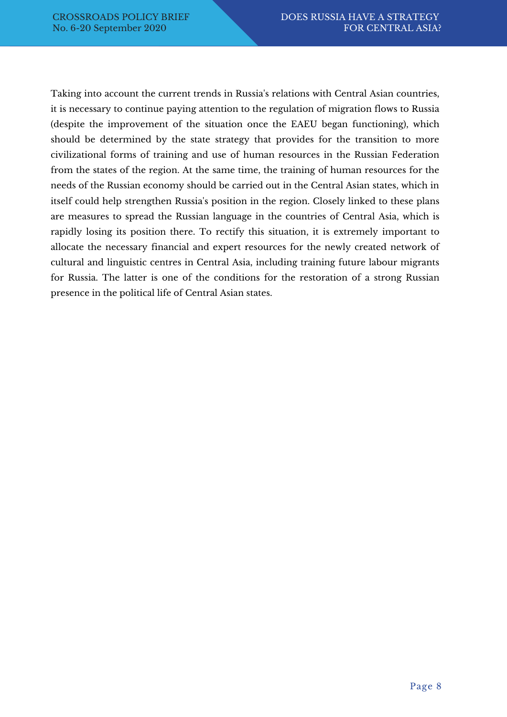Taking into account the current trends in Russia's relations with Central Asian countries, it is necessary to continue paying attention to the regulation of migration flows to Russia (despite the improvement of the situation once the EAEU began functioning), which should be determined by the state strategy that provides for the transition to more civilizational forms of training and use of human resources in the Russian Federation from the states of the region. At the same time, the training of human resources for the needs of the Russian economy should be carried out in the Central Asian states, which in itself could help strengthen Russia's position in the region. Closely linked to these plans are measures to spread the Russian language in the countries of Central Asia, which is rapidly losing its position there. To rectify this situation, it is extremely important to allocate the necessary financial and expert resources for the newly created network of cultural and linguistic centres in Central Asia, including training future labour migrants for Russia. The latter is one of the conditions for the restoration of a strong Russian presence in the political life of Central Asian states.